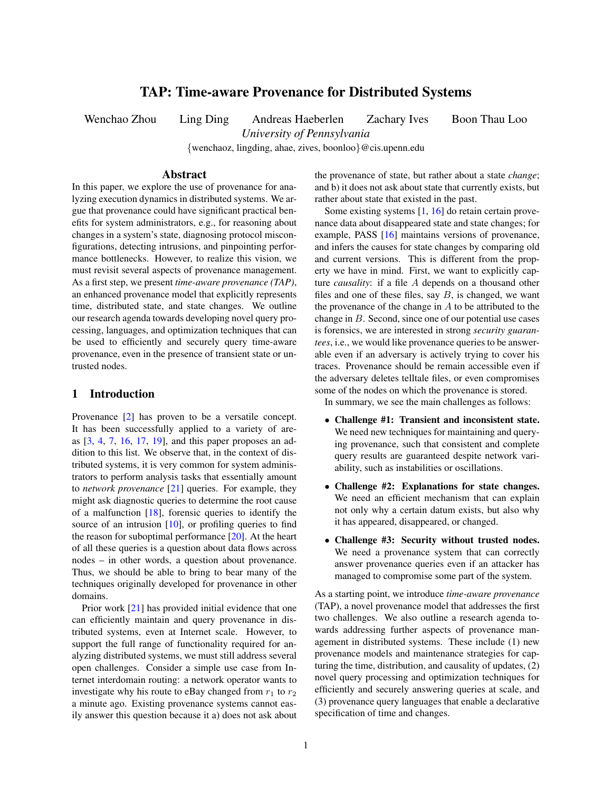# TAP: Time-aware Provenance for Distributed Systems

Wenchao Zhou Ling Ding Andreas Haeberlen Zachary Ives Boon Thau Loo

*University of Pennsylvania*

{wenchaoz, lingding, ahae, zives, boonloo}@cis.upenn.edu

#### Abstract

In this paper, we explore the use of provenance for analyzing execution dynamics in distributed systems. We argue that provenance could have significant practical benefits for system administrators, e.g., for reasoning about changes in a system's state, diagnosing protocol misconfigurations, detecting intrusions, and pinpointing performance bottlenecks. However, to realize this vision, we must revisit several aspects of provenance management. As a first step, we present *time-aware provenance (TAP)*, an enhanced provenance model that explicitly represents time, distributed state, and state changes. We outline our research agenda towards developing novel query processing, languages, and optimization techniques that can be used to efficiently and securely query time-aware provenance, even in the presence of transient state or untrusted nodes.

#### 1 Introduction

Provenance [\[2\]](#page-5-0) has proven to be a versatile concept. It has been successfully applied to a variety of areas [\[3,](#page-5-1) [4,](#page-5-2) [7,](#page-5-3) [16,](#page-5-4) [17,](#page-5-5) [19\]](#page-5-6), and this paper proposes an addition to this list. We observe that, in the context of distributed systems, it is very common for system administrators to perform analysis tasks that essentially amount to *network provenance* [\[21\]](#page-5-7) queries. For example, they might ask diagnostic queries to determine the root cause of a malfunction [\[18\]](#page-5-8), forensic queries to identify the source of an intrusion [\[10\]](#page-5-9), or profiling queries to find the reason for suboptimal performance  $[20]$ . At the heart of all these queries is a question about data flows across nodes – in other words, a question about provenance. Thus, we should be able to bring to bear many of the techniques originally developed for provenance in other domains.

Prior work [\[21\]](#page-5-7) has provided initial evidence that one can efficiently maintain and query provenance in distributed systems, even at Internet scale. However, to support the full range of functionality required for analyzing distributed systems, we must still address several open challenges. Consider a simple use case from Internet interdomain routing: a network operator wants to investigate why his route to eBay changed from  $r_1$  to  $r_2$ a minute ago. Existing provenance systems cannot easily answer this question because it a) does not ask about the provenance of state, but rather about a state *change*; and b) it does not ask about state that currently exists, but rather about state that existed in the past.

Some existing systems [\[1,](#page-5-11) [16\]](#page-5-4) do retain certain provenance data about disappeared state and state changes; for example, PASS [\[16\]](#page-5-4) maintains versions of provenance, and infers the causes for state changes by comparing old and current versions. This is different from the property we have in mind. First, we want to explicitly capture *causality*: if a file A depends on a thousand other files and one of these files, say  $B$ , is changed, we want the provenance of the change in  $A$  to be attributed to the change in B. Second, since one of our potential use cases is forensics, we are interested in strong *security guarantees*, i.e., we would like provenance queries to be answerable even if an adversary is actively trying to cover his traces. Provenance should be remain accessible even if the adversary deletes telltale files, or even compromises some of the nodes on which the provenance is stored.

In summary, we see the main challenges as follows:

- Challenge #1: Transient and inconsistent state. We need new techniques for maintaining and querying provenance, such that consistent and complete query results are guaranteed despite network variability, such as instabilities or oscillations.
- Challenge #2: Explanations for state changes. We need an efficient mechanism that can explain not only why a certain datum exists, but also why it has appeared, disappeared, or changed.
- Challenge #3: Security without trusted nodes. We need a provenance system that can correctly answer provenance queries even if an attacker has managed to compromise some part of the system.

As a starting point, we introduce *time-aware provenance* (TAP), a novel provenance model that addresses the first two challenges. We also outline a research agenda towards addressing further aspects of provenance management in distributed systems. These include (1) new provenance models and maintenance strategies for capturing the time, distribution, and causality of updates, (2) novel query processing and optimization techniques for efficiently and securely answering queries at scale, and (3) provenance query languages that enable a declarative specification of time and changes.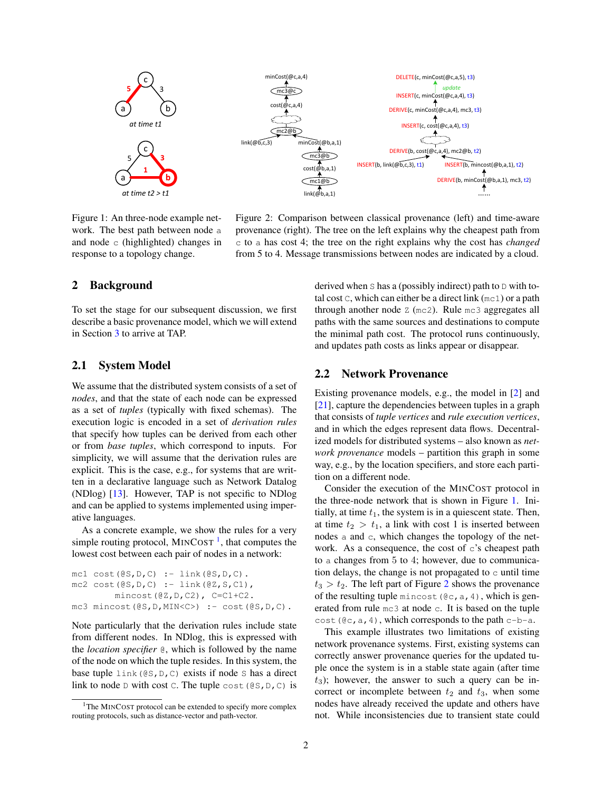

<span id="page-1-1"></span>Figure 1: An three-node example network. The best path between node a and node  $\circ$  (highlighted) changes in response to a topology change.

<span id="page-1-2"></span>Figure 2: Comparison between classical provenance (left) and time-aware provenance (right). The tree on the left explains why the cheapest path from c to a has cost 4; the tree on the right explains why the cost has *changed* from 5 to 4. Message transmissions between nodes are indicated by a cloud.

## 2 Background

To set the stage for our subsequent discussion, we first describe a basic provenance model, which we will extend in Section [3](#page-2-0) to arrive at TAP.

## 2.1 System Model

We assume that the distributed system consists of a set of *nodes*, and that the state of each node can be expressed as a set of *tuples* (typically with fixed schemas). The execution logic is encoded in a set of *derivation rules* that specify how tuples can be derived from each other or from *base tuples*, which correspond to inputs. For simplicity, we will assume that the derivation rules are explicit. This is the case, e.g., for systems that are written in a declarative language such as Network Datalog (NDlog) [\[13\]](#page-5-12). However, TAP is not specific to NDlog and can be applied to systems implemented using imperative languages.

As a concrete example, we show the rules for a very simple routing protocol,  $MINCOST^{-1}$  $MINCOST^{-1}$  $MINCOST^{-1}$ , that computes the lowest cost between each pair of nodes in a network:

```
mc1 \cost(\Theta S, D, C) := \text{link}(\Theta S, D, C).
mc2 \cost(0S, D, C) := link(0Z, S, C1),
         mincost(@Z,D,C2), C=C1+C2.
mc3 mincost(@S,D,MIN<C>) :- cost(@S,D,C).
```
Note particularly that the derivation rules include state from different nodes. In NDlog, this is expressed with the *location specifier* @, which is followed by the name of the node on which the tuple resides. In this system, the base tuple  $\text{link}(\text{@S}, \text{D}, \text{C})$  exists if node S has a direct link to node D with cost C. The tuple cost  $(\mathcal{Q}S, D, C)$  is derived when  $S$  has a (possibly indirect) path to  $D$  with total cost  $\mathcal{C}$ , which can either be a direct link (mc1) or a path through another node  $Z$  (mc2). Rule mc3 aggregates all paths with the same sources and destinations to compute the minimal path cost. The protocol runs continuously, and updates path costs as links appear or disappear.

#### <span id="page-1-3"></span>2.2 Network Provenance

Existing provenance models, e.g., the model in [\[2\]](#page-5-0) and [\[21\]](#page-5-7), capture the dependencies between tuples in a graph that consists of *tuple vertices* and *rule execution vertices*, and in which the edges represent data flows. Decentralized models for distributed systems – also known as *network provenance* models – partition this graph in some way, e.g., by the location specifiers, and store each partition on a different node.

Consider the execution of the MINCOST protocol in the three-node network that is shown in Figure [1.](#page-1-1) Initially, at time  $t_1$ , the system is in a quiescent state. Then, at time  $t_2 > t_1$ , a link with cost 1 is inserted between nodes a and c, which changes the topology of the network. As a consequence, the cost of  $\circ$ 's cheapest path to a changes from 5 to 4; however, due to communication delays, the change is not propagated to  $\circ$  until time  $t_3 > t_2$  $t_3 > t_2$ . The left part of Figure 2 shows the provenance of the resulting tuple mincost ( $@c, a, 4$ ), which is generated from rule mc3 at node c. It is based on the tuple cost ( $@c, a, 4)$ , which corresponds to the path c-b-a.

This example illustrates two limitations of existing network provenance systems. First, existing systems can correctly answer provenance queries for the updated tuple once the system is in a stable state again (after time  $t_3$ ); however, the answer to such a query can be incorrect or incomplete between  $t_2$  and  $t_3$ , when some nodes have already received the update and others have not. While inconsistencies due to transient state could

<span id="page-1-0"></span><sup>&</sup>lt;sup>1</sup>The MINCOST protocol can be extended to specify more complex routing protocols, such as distance-vector and path-vector.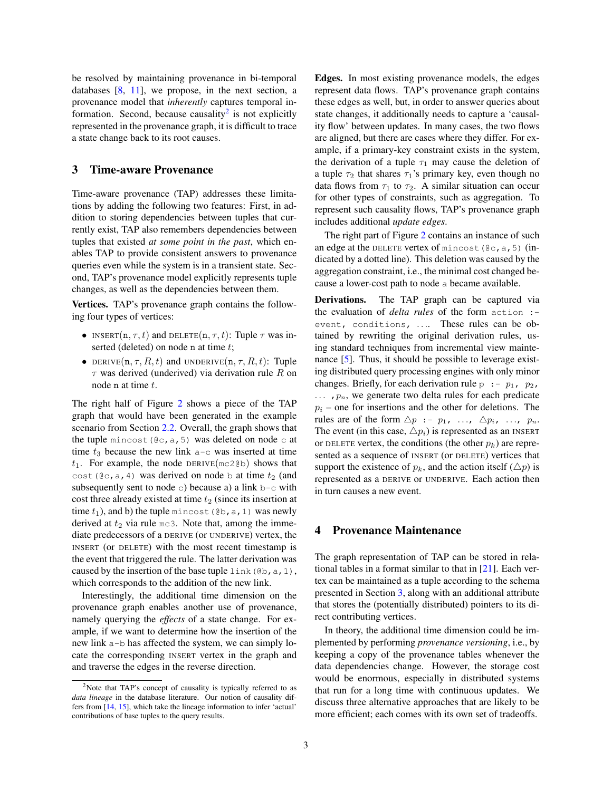be resolved by maintaining provenance in bi-temporal databases  $[8, 11]$  $[8, 11]$  $[8, 11]$ , we propose, in the next section, a provenance model that *inherently* captures temporal in-formation. Second, because causality<sup>[2](#page-2-1)</sup> is not explicitly represented in the provenance graph, it is difficult to trace a state change back to its root causes.

## <span id="page-2-0"></span>3 Time-aware Provenance

Time-aware provenance (TAP) addresses these limitations by adding the following two features: First, in addition to storing dependencies between tuples that currently exist, TAP also remembers dependencies between tuples that existed *at some point in the past*, which enables TAP to provide consistent answers to provenance queries even while the system is in a transient state. Second, TAP's provenance model explicitly represents tuple changes, as well as the dependencies between them.

Vertices. TAP's provenance graph contains the following four types of vertices:

- INSERT(n,  $\tau$ , t) and DELETE(n,  $\tau$ , t): Tuple  $\tau$  was inserted (deleted) on node n at time t;
- DERIVE $(n, \tau, R, t)$  and UNDERIVE $(n, \tau, R, t)$ : Tuple  $\tau$  was derived (underived) via derivation rule R on node n at time t.

The right half of Figure [2](#page-1-2) shows a piece of the TAP graph that would have been generated in the example scenario from Section [2.2.](#page-1-3) Overall, the graph shows that the tuple mincost ( $@c, a, 5)$  was deleted on node c at time  $t_3$  because the new link  $a-c$  was inserted at time  $t_1$ . For example, the node DERIVE(mc2@b) shows that cost ( $\mathcal{C}c$ , a, 4) was derived on node b at time  $t_2$  (and subsequently sent to node c) because a) a link  $b - c$  with cost three already existed at time  $t_2$  (since its insertion at time  $t_1$ ), and b) the tuple mincost ( $@b$ , a, 1) was newly derived at  $t_2$  via rule mc3. Note that, among the immediate predecessors of a DERIVE (or UNDERIVE) vertex, the INSERT (or DELETE) with the most recent timestamp is the event that triggered the rule. The latter derivation was caused by the insertion of the base tuple link (@b, a, 1), which corresponds to the addition of the new link.

Interestingly, the additional time dimension on the provenance graph enables another use of provenance, namely querying the *effects* of a state change. For example, if we want to determine how the insertion of the new link a-b has affected the system, we can simply locate the corresponding INSERT vertex in the graph and and traverse the edges in the reverse direction.

Edges. In most existing provenance models, the edges represent data flows. TAP's provenance graph contains these edges as well, but, in order to answer queries about state changes, it additionally needs to capture a 'causality flow' between updates. In many cases, the two flows are aligned, but there are cases where they differ. For example, if a primary-key constraint exists in the system, the derivation of a tuple  $\tau_1$  may cause the deletion of a tuple  $\tau_2$  that shares  $\tau_1$ 's primary key, even though no data flows from  $\tau_1$  to  $\tau_2$ . A similar situation can occur for other types of constraints, such as aggregation. To represent such causality flows, TAP's provenance graph includes additional *update edges*.

The right part of Figure [2](#page-1-2) contains an instance of such an edge at the DELETE vertex of mincost ( $@c, a, 5$ ) (indicated by a dotted line). This deletion was caused by the aggregation constraint, i.e., the minimal cost changed because a lower-cost path to node a became available.

Derivations. The TAP graph can be captured via the evaluation of *delta rules* of the form action : event, conditions, .... These rules can be obtained by rewriting the original derivation rules, using standard techniques from incremental view maintenance [\[5\]](#page-5-17). Thus, it should be possible to leverage existing distributed query processing engines with only minor changes. Briefly, for each derivation rule  $p : -p_1, p_2$ ,  $\ldots$ ,  $p_n$ , we generate two delta rules for each predicate  $p_i$  – one for insertions and the other for deletions. The rules are of the form  $\triangle p$  :-  $p_1$ , ...,  $\triangle p_i$ , ...,  $p_n$ . The event (in this case,  $\triangle p_i$ ) is represented as an INSERT or DELETE vertex, the conditions (the other  $p_k$ ) are represented as a sequence of INSERT (or DELETE) vertices that support the existence of  $p_k$ , and the action itself  $(\triangle p)$  is represented as a DERIVE or UNDERIVE. Each action then in turn causes a new event.

### 4 Provenance Maintenance

The graph representation of TAP can be stored in relational tables in a format similar to that in [\[21\]](#page-5-7). Each vertex can be maintained as a tuple according to the schema presented in Section [3,](#page-2-0) along with an additional attribute that stores the (potentially distributed) pointers to its direct contributing vertices.

In theory, the additional time dimension could be implemented by performing *provenance versioning*, i.e., by keeping a copy of the provenance tables whenever the data dependencies change. However, the storage cost would be enormous, especially in distributed systems that run for a long time with continuous updates. We discuss three alternative approaches that are likely to be more efficient; each comes with its own set of tradeoffs.

<span id="page-2-1"></span><sup>2</sup>Note that TAP's concept of causality is typically referred to as *data lineage* in the database literature. Our notion of causality differs from [\[14,](#page-5-15) [15\]](#page-5-16), which take the lineage information to infer 'actual' contributions of base tuples to the query results.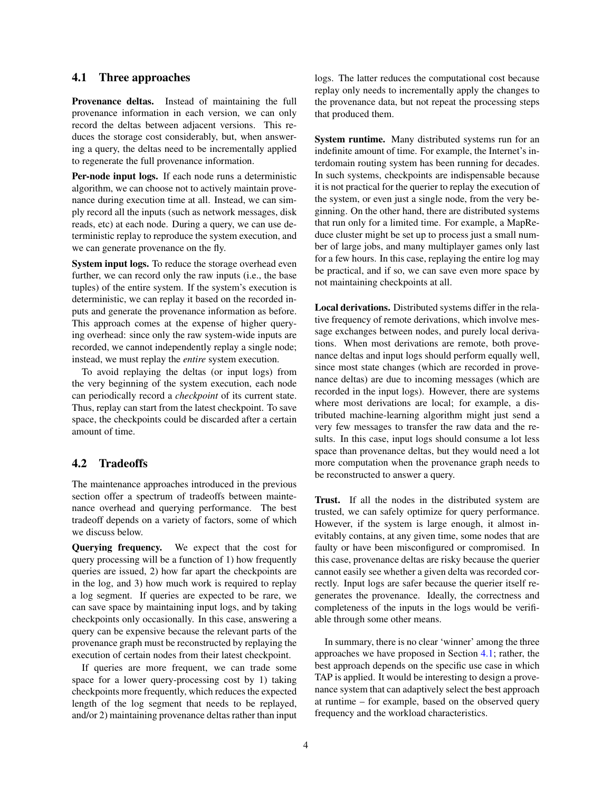## <span id="page-3-0"></span>4.1 Three approaches

Provenance deltas. Instead of maintaining the full provenance information in each version, we can only record the deltas between adjacent versions. This reduces the storage cost considerably, but, when answering a query, the deltas need to be incrementally applied to regenerate the full provenance information.

Per-node input logs. If each node runs a deterministic algorithm, we can choose not to actively maintain provenance during execution time at all. Instead, we can simply record all the inputs (such as network messages, disk reads, etc) at each node. During a query, we can use deterministic replay to reproduce the system execution, and we can generate provenance on the fly.

System input logs. To reduce the storage overhead even further, we can record only the raw inputs (i.e., the base tuples) of the entire system. If the system's execution is deterministic, we can replay it based on the recorded inputs and generate the provenance information as before. This approach comes at the expense of higher querying overhead: since only the raw system-wide inputs are recorded, we cannot independently replay a single node; instead, we must replay the *entire* system execution.

To avoid replaying the deltas (or input logs) from the very beginning of the system execution, each node can periodically record a *checkpoint* of its current state. Thus, replay can start from the latest checkpoint. To save space, the checkpoints could be discarded after a certain amount of time.

## 4.2 Tradeoffs

The maintenance approaches introduced in the previous section offer a spectrum of tradeoffs between maintenance overhead and querying performance. The best tradeoff depends on a variety of factors, some of which we discuss below.

Querying frequency. We expect that the cost for query processing will be a function of 1) how frequently queries are issued, 2) how far apart the checkpoints are in the log, and 3) how much work is required to replay a log segment. If queries are expected to be rare, we can save space by maintaining input logs, and by taking checkpoints only occasionally. In this case, answering a query can be expensive because the relevant parts of the provenance graph must be reconstructed by replaying the execution of certain nodes from their latest checkpoint.

If queries are more frequent, we can trade some space for a lower query-processing cost by 1) taking checkpoints more frequently, which reduces the expected length of the log segment that needs to be replayed, and/or 2) maintaining provenance deltas rather than input logs. The latter reduces the computational cost because replay only needs to incrementally apply the changes to the provenance data, but not repeat the processing steps that produced them.

System runtime. Many distributed systems run for an indefinite amount of time. For example, the Internet's interdomain routing system has been running for decades. In such systems, checkpoints are indispensable because it is not practical for the querier to replay the execution of the system, or even just a single node, from the very beginning. On the other hand, there are distributed systems that run only for a limited time. For example, a MapReduce cluster might be set up to process just a small number of large jobs, and many multiplayer games only last for a few hours. In this case, replaying the entire log may be practical, and if so, we can save even more space by not maintaining checkpoints at all.

Local derivations. Distributed systems differ in the relative frequency of remote derivations, which involve message exchanges between nodes, and purely local derivations. When most derivations are remote, both provenance deltas and input logs should perform equally well, since most state changes (which are recorded in provenance deltas) are due to incoming messages (which are recorded in the input logs). However, there are systems where most derivations are local; for example, a distributed machine-learning algorithm might just send a very few messages to transfer the raw data and the results. In this case, input logs should consume a lot less space than provenance deltas, but they would need a lot more computation when the provenance graph needs to be reconstructed to answer a query.

Trust. If all the nodes in the distributed system are trusted, we can safely optimize for query performance. However, if the system is large enough, it almost inevitably contains, at any given time, some nodes that are faulty or have been misconfigured or compromised. In this case, provenance deltas are risky because the querier cannot easily see whether a given delta was recorded correctly. Input logs are safer because the querier itself regenerates the provenance. Ideally, the correctness and completeness of the inputs in the logs would be verifiable through some other means.

In summary, there is no clear 'winner' among the three approaches we have proposed in Section [4.1;](#page-3-0) rather, the best approach depends on the specific use case in which TAP is applied. It would be interesting to design a provenance system that can adaptively select the best approach at runtime – for example, based on the observed query frequency and the workload characteristics.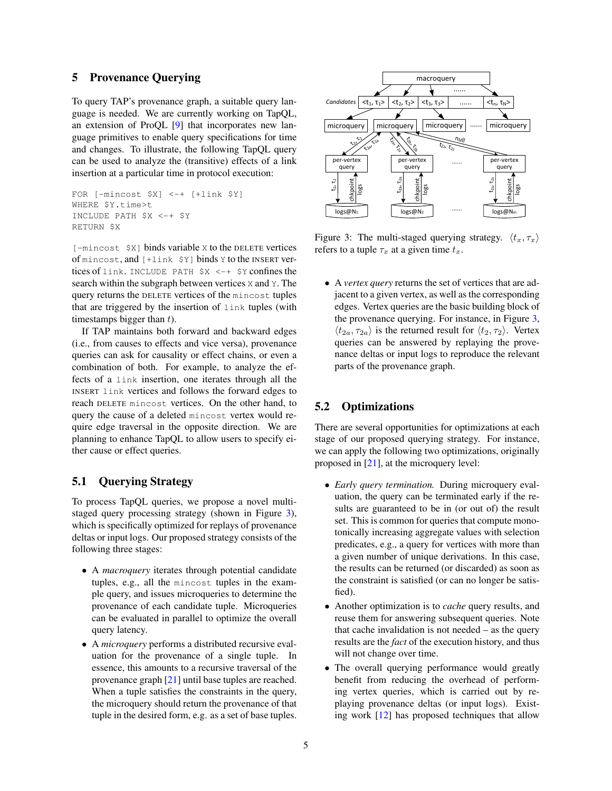## 5 Provenance Querying

To query TAP's provenance graph, a suitable query language is needed. We are currently working on TapQL, an extension of ProQL [\[9\]](#page-5-18) that incorporates new language primitives to enable query specifications for time and changes. To illustrate, the following TapQL query can be used to analyze the (transitive) effects of a link insertion at a particular time in protocol execution:

```
FOR [-mincost $X] <-+ [+link $Y]
WHERE $Y.time>t
INCLUDE PATH $X <-+ $Y
RETURN $X
```
[-mincost \$X] binds variable X to the DELETE vertices of mincost, and [+link \$Y] binds Y to the INSERT vertices of link. INCLUDE PATH \$X <-+ \$Y confines the search within the subgraph between vertices X and Y. The query returns the DELETE vertices of the mincost tuples that are triggered by the insertion of link tuples (with timestamps bigger than  $t$ ).

If TAP maintains both forward and backward edges (i.e., from causes to effects and vice versa), provenance queries can ask for causality or effect chains, or even a combination of both. For example, to analyze the effects of a link insertion, one iterates through all the INSERT link vertices and follows the forward edges to reach DELETE mincost vertices. On the other hand, to query the cause of a deleted mincost vertex would require edge traversal in the opposite direction. We are planning to enhance TapQL to allow users to specify either cause or effect queries.

# 5.1 Querying Strategy

To process TapQL queries, we propose a novel multistaged query processing strategy (shown in Figure [3\)](#page-4-0), which is specifically optimized for replays of provenance deltas or input logs. Our proposed strategy consists of the following three stages:

- A *macroquery* iterates through potential candidate tuples, e.g., all the mincost tuples in the example query, and issues microqueries to determine the provenance of each candidate tuple. Microqueries can be evaluated in parallel to optimize the overall query latency.
- A *microquery* performs a distributed recursive evaluation for the provenance of a single tuple. In essence, this amounts to a recursive traversal of the provenance graph [\[21\]](#page-5-7) until base tuples are reached. When a tuple satisfies the constraints in the query, the microquery should return the provenance of that tuple in the desired form, e.g. as a set of base tuples.



<span id="page-4-0"></span>Figure 3: The multi-staged querying strategy.  $\langle t_x, \tau_x \rangle$ refers to a tuple  $\tau_x$  at a given time  $t_x$ .

• A *vertex query* returns the set of vertices that are adjacent to a given vertex, as well as the corresponding edges. Vertex queries are the basic building block of the provenance querying. For instance, in Figure [3,](#page-4-0)  $\langle t_{2a}, \tau_{2a} \rangle$  is the returned result for  $\langle t_2, \tau_2 \rangle$ . Vertex queries can be answered by replaying the provenance deltas or input logs to reproduce the relevant parts of the provenance graph.

## 5.2 Optimizations

There are several opportunities for optimizations at each stage of our proposed querying strategy. For instance, we can apply the following two optimizations, originally proposed in [\[21\]](#page-5-7), at the microquery level:

- *Early query termination.* During microquery evaluation, the query can be terminated early if the results are guaranteed to be in (or out of) the result set. This is common for queries that compute monotonically increasing aggregate values with selection predicates, e.g., a query for vertices with more than a given number of unique derivations. In this case, the results can be returned (or discarded) as soon as the constraint is satisfied (or can no longer be satisfied).
- Another optimization is to *cache* query results, and reuse them for answering subsequent queries. Note that cache invalidation is not needed – as the query results are the *fact* of the execution history, and thus will not change over time.
- The overall querying performance would greatly benefit from reducing the overhead of performing vertex queries, which is carried out by replaying provenance deltas (or input logs). Existing work [\[12\]](#page-5-19) has proposed techniques that allow